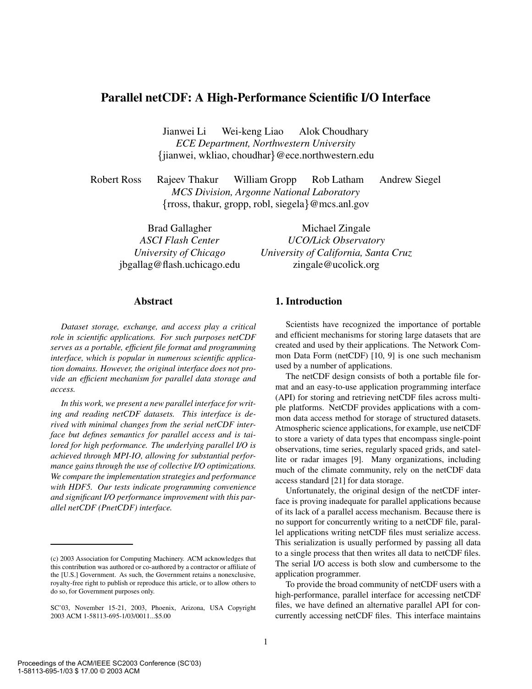# **Parallel netCDF: A High-Performance Scientific I/O Interface**

Jianwei Li Wei-keng Liao Alok Choudhary *ECE Department, Northwestern University* jianwei, wkliao, choudhar @ece.northwestern.edu

Robert Ross Rajeev Thakur William Gropp Rob Latham Andrew Siegel *MCS Division, Argonne National Laboratory* rross, thakur, gropp, robl, siegela @mcs.anl.gov

Brad Gallagher Michael Zingale *ASCI Flash Center UCO/Lick Observatory University of Chicago University of California, Santa Cruz* jbgallag@flash.uchicago.edu zingale@ucolick.org

# **Abstract**

*Dataset storage, exchange, and access play a critical role in scientific applications. For such purposes netCDF serves as a portable, efficient file format and programming interface, which is popular in numerous scientific application domains. However, the original interface does not provide an efficient mechanism for parallel data storage and access.*

*In this work, we present a new parallel interface for writing and reading netCDF datasets. This interface is derived with minimal changes from the serial netCDF interface but defines semantics for parallel access and is tailored for high performance. The underlying parallel I/O is achieved through MPI-IO, allowing for substantial performance gains through the use of collective I/O optimizations. We compare the implementation strategies and performance with HDF5. Our tests indicate programming convenience and significant I/O performance improvement with this parallel netCDF (PnetCDF) interface.*

# **1. Introduction**

Scientists have recognized the importance of portable and efficient mechanisms for storing large datasets that are created and used by their applications. The Network Common Data Form (netCDF) [10, 9] is one such mechanism used by a number of applications.

The netCDF design consists of both a portable file format and an easy-to-use application programming interface (API) for storing and retrieving netCDF files across multiple platforms. NetCDF provides applications with a common data access method for storage of structured datasets. Atmospheric science applications, for example, use netCDF to store a variety of data types that encompass single-point observations, time series, regularly spaced grids, and satellite or radar images [9]. Many organizations, including much of the climate community, rely on the netCDF data access standard [21] for data storage.

Unfortunately, the original design of the netCDF interface is proving inadequate for parallel applications because of its lack of a parallel access mechanism. Because there is no support for concurrently writing to a netCDF file, parallel applications writing netCDF files must serialize access. This serialization is usually performed by passing all data to a single process that then writes all data to netCDF files. The serial I/O access is both slow and cumbersome to the application programmer.

To provide the broad community of netCDF users with a high-performance, parallel interface for accessing netCDF files, we have defined an alternative parallel API for concurrently accessing netCDF files. This interface maintains

<sup>(</sup>c) 2003 Association for Computing Machinery. ACM acknowledges that this contribution was authored or co-authored by a contractor or affiliate of the [U.S.] Government. As such, the Government retains a nonexclusive, royalty-free right to publish or reproduce this article, or to allow others to do so, for Government purposes only.

SC'03, November 15-21, 2003, Phoenix, Arizona, USA Copyright 2003 ACM 1-58113-695-1/03/0011...\$5.00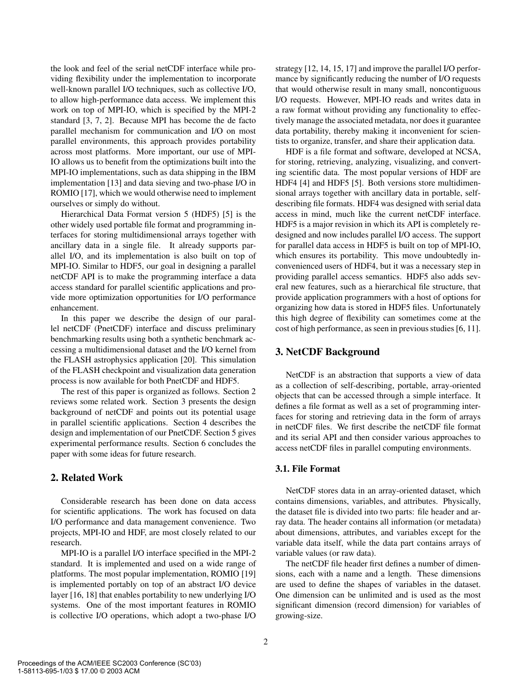the look and feel of the serial netCDF interface while providing flexibility under the implementation to incorporate well-known parallel I/O techniques, such as collective I/O, to allow high-performance data access. We implement this work on top of MPI-IO, which is specified by the MPI-2 standard [3, 7, 2]. Because MPI has become the de facto parallel mechanism for communication and I/O on most parallel environments, this approach provides portability across most platforms. More important, our use of MPI-IO allows us to benefit from the optimizations built into the MPI-IO implementations, such as data shipping in the IBM implementation [13] and data sieving and two-phase I/O in ROMIO [17], which we would otherwise need to implement ourselves or simply do without.

Hierarchical Data Format version 5 (HDF5) [5] is the other widely used portable file format and programming interfaces for storing multidimensional arrays together with ancillary data in a single file. It already supports parallel I/O, and its implementation is also built on top of MPI-IO. Similar to HDF5, our goal in designing a parallel netCDF API is to make the programming interface a data access standard for parallel scientific applications and provide more optimization opportunities for I/O performance enhancement.

In this paper we describe the design of our parallel netCDF (PnetCDF) interface and discuss preliminary benchmarking results using both a synthetic benchmark accessing a multidimensional dataset and the I/O kernel from the FLASH astrophysics application [20]. This simulation of the FLASH checkpoint and visualization data generation process is now available for both PnetCDF and HDF5.

The rest of this paper is organized as follows. Section 2 reviews some related work. Section 3 presents the design background of netCDF and points out its potential usage in parallel scientific applications. Section 4 describes the design and implementation of our PnetCDF. Section 5 gives experimental performance results. Section 6 concludes the paper with some ideas for future research.

# **2. Related Work**

Considerable research has been done on data access for scientific applications. The work has focused on data I/O performance and data management convenience. Two projects, MPI-IO and HDF, are most closely related to our research.

MPI-IO is a parallel I/O interface specified in the MPI-2 standard. It is implemented and used on a wide range of platforms. The most popular implementation, ROMIO [19] is implemented portably on top of an abstract I/O device layer [16, 18] that enables portability to new underlying I/O systems. One of the most important features in ROMIO is collective I/O operations, which adopt a two-phase I/O

strategy [12, 14, 15, 17] and improve the parallel I/O performance by significantly reducing the number of I/O requests that would otherwise result in many small, noncontiguous I/O requests. However, MPI-IO reads and writes data in a raw format without providing any functionality to effectively manage the associated metadata, nor does it guarantee data portability, thereby making it inconvenient for scientists to organize, transfer, and share their application data.

HDF is a file format and software, developed at NCSA, for storing, retrieving, analyzing, visualizing, and converting scientific data. The most popular versions of HDF are HDF4 [4] and HDF5 [5]. Both versions store multidimensional arrays together with ancillary data in portable, selfdescribing file formats. HDF4 was designed with serial data access in mind, much like the current netCDF interface. HDF5 is a major revision in which its API is completely redesigned and now includes parallel I/O access. The support for parallel data access in HDF5 is built on top of MPI-IO, which ensures its portability. This move undoubtedly inconvenienced users of HDF4, but it was a necessary step in providing parallel access semantics. HDF5 also adds several new features, such as a hierarchical file structure, that provide application programmers with a host of options for organizing how data is stored in HDF5 files. Unfortunately this high degree of flexibility can sometimes come at the cost of high performance, as seen in previous studies [6, 11].

## **3. NetCDF Background**

NetCDF is an abstraction that supports a view of data as a collection of self-describing, portable, array-oriented objects that can be accessed through a simple interface. It defines a file format as well as a set of programming interfaces for storing and retrieving data in the form of arrays in netCDF files. We first describe the netCDF file format and its serial API and then consider various approaches to access netCDF files in parallel computing environments.

# **3.1. File Format**

NetCDF stores data in an array-oriented dataset, which contains dimensions, variables, and attributes. Physically, the dataset file is divided into two parts: file header and array data. The header contains all information (or metadata) about dimensions, attributes, and variables except for the variable data itself, while the data part contains arrays of variable values (or raw data).

The netCDF file header first defines a number of dimensions, each with a name and a length. These dimensions are used to define the shapes of variables in the dataset. One dimension can be unlimited and is used as the most significant dimension (record dimension) for variables of growing-size.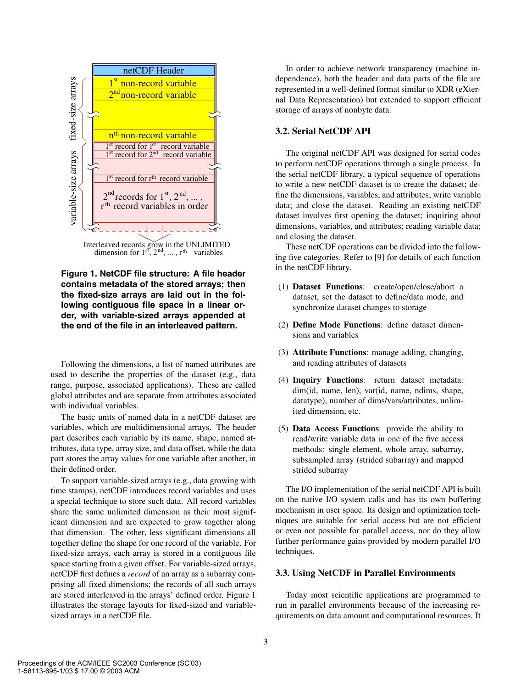

**Figure 1. NetCDF file structure: A file header contains metadata of the stored arrays; then the fixed-size arrays are laid out in the following contiguous file space in a linear order, with variable-sized arrays appended at the end of the file in an interleaved pattern.**

Following the dimensions, a list of named attributes are used to describe the properties of the dataset (e.g., data range, purpose, associated applications). These are called global attributes and are separate from attributes associated with individual variables.

The basic units of named data in a netCDF dataset are variables, which are multidimensional arrays. The header part describes each variable by its name, shape, named attributes, data type, array size, and data offset, while the data part stores the array values for one variable after another, in their defined order.

To support variable-sized arrays (e.g., data growing with time stamps), netCDF introduces record variables and uses a special technique to store such data. All record variables share the same unlimited dimension as their most significant dimension and are expected to grow together along that dimension. The other, less significant dimensions all together define the shape for one record of the variable. For fixed-size arrays, each array is stored in a contiguous file space starting from a given offset. For variable-sized arrays, netCDF first defines a *record* of an array as a subarray comprising all fixed dimensions; the records of all such arrays are stored interleaved in the arrays' defined order. Figure 1 illustrates the storage layouts for fixed-sized and variablesized arrays in a netCDF file.

In order to achieve network transparency (machine independence), both the header and data parts of the file are represented in a well-defined format similar to XDR (eXternal Data Representation) but extended to support efficient storage of arrays of nonbyte data.

# **3.2. Serial NetCDF API**

The original netCDF API was designed for serial codes to perform netCDF operations through a single process. In the serial netCDF library, a typical sequence of operations to write a new netCDF dataset is to create the dataset; define the dimensions, variables, and attributes; write variable data; and close the dataset. Reading an existing netCDF dataset involves first opening the dataset; inquiring about dimensions, variables, and attributes; reading variable data; and closing the dataset.

These netCDF operations can be divided into the following five categories. Refer to [9] for details of each function in the netCDF library.

- (1) **Dataset Functions**: create/open/close/abort a dataset, set the dataset to define/data mode, and synchronize dataset changes to storage
- (2) **Define Mode Functions**: define dataset dimensions and variables
- (3) **Attribute Functions**: manage adding, changing, and reading attributes of datasets
- (4) **Inquiry Functions**: return dataset metadata: dim(id, name, len), var(id, name, ndims, shape, datatype), number of dims/vars/attributes, unlimited dimension, etc.
- (5) **Data Access Functions**: provide the ability to read/write variable data in one of the five access methods: single element, whole array, subarray, subsampled array (strided subarray) and mapped strided subarray

The I/O implementation of the serial netCDF API is built on the native I/O system calls and has its own buffering mechanism in user space. Its design and optimization techniques are suitable for serial access but are not efficient or even not possible for parallel access, nor do they allow further performance gains provided by modern parallel I/O techniques.

# **3.3. Using NetCDF in Parallel Environments**

Today most scientific applications are programmed to run in parallel environments because of the increasing requirements on data amount and computational resources. It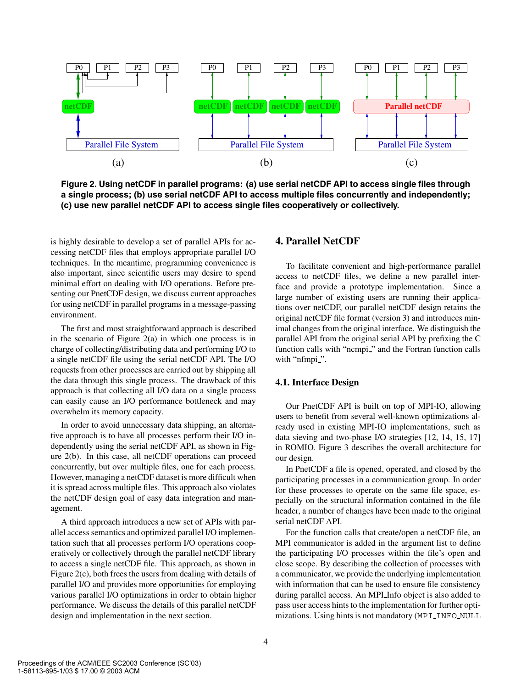

**Figure 2. Using netCDF in parallel programs: (a) use serial netCDF API to access single files through a single process; (b) use serial netCDF API to access multiple files concurrently and independently; (c) use new parallel netCDF API to access single files cooperatively or collectively.**

is highly desirable to develop a set of parallel APIs for accessing netCDF files that employs appropriate parallel I/O techniques. In the meantime, programming convenience is also important, since scientific users may desire to spend minimal effort on dealing with I/O operations. Before presenting our PnetCDF design, we discuss current approaches for using netCDF in parallel programs in a message-passing environment.

The first and most straightforward approach is described in the scenario of Figure 2(a) in which one process is in charge of collecting/distributing data and performing I/O to a single netCDF file using the serial netCDF API. The I/O requests from other processes are carried out by shipping all the data through this single process. The drawback of this approach is that collecting all I/O data on a single process can easily cause an I/O performance bottleneck and may overwhelm its memory capacity.

In order to avoid unnecessary data shipping, an alternative approach is to have all processes perform their I/O independently using the serial netCDF API, as shown in Figure 2(b). In this case, all netCDF operations can proceed concurrently, but over multiple files, one for each process. However, managing a netCDF dataset is more difficult when it is spread across multiple files. This approach also violates the netCDF design goal of easy data integration and management.

A third approach introduces a new set of APIs with parallel access semantics and optimized parallel I/O implementation such that all processes perform I/O operations cooperatively or collectively through the parallel netCDF library to access a single netCDF file. This approach, as shown in Figure 2(c), both frees the users from dealing with details of parallel I/O and provides more opportunities for employing various parallel I/O optimizations in order to obtain higher performance. We discuss the details of this parallel netCDF design and implementation in the next section.

# **4. Parallel NetCDF**

To facilitate convenient and high-performance parallel access to netCDF files, we define a new parallel interface and provide a prototype implementation. Since a large number of existing users are running their applications over netCDF, our parallel netCDF design retains the original netCDF file format (version 3) and introduces minimal changes from the original interface. We distinguish the parallel API from the original serial API by prefixing the C function calls with "ncmpi\_" and the Fortran function calls with "nfmpi\_".

## **4.1. Interface Design**

Our PnetCDF API is built on top of MPI-IO, allowing users to benefit from several well-known optimizations already used in existing MPI-IO implementations, such as data sieving and two-phase I/O strategies [12, 14, 15, 17] in ROMIO. Figure 3 describes the overall architecture for our design.

In PnetCDF a file is opened, operated, and closed by the participating processes in a communication group. In order for these processes to operate on the same file space, especially on the structural information contained in the file header, a number of changes have been made to the original serial netCDF API.

For the function calls that create/open a netCDF file, an MPI communicator is added in the argument list to define the participating I/O processes within the file's open and close scope. By describing the collection of processes with a communicator, we provide the underlying implementation with information that can be used to ensure file consistency during parallel access. An MPI Info object is also added to pass user access hints to the implementation for further optimizations. Using hints is not mandatory (MPI INFO NULL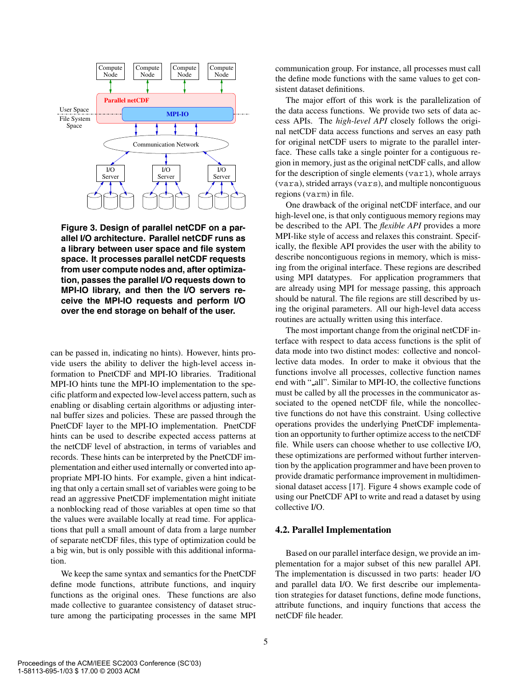

**Figure 3. Design of parallel netCDF on a parallel I/O architecture. Parallel netCDF runs as a library between user space and file system space. It processes parallel netCDF requests from user compute nodes and, after optimization, passes the parallel I/O requests down to MPI-IO library, and then the I/O servers receive the MPI-IO requests and perform I/O over the end storage on behalf of the user.**

can be passed in, indicating no hints). However, hints provide users the ability to deliver the high-level access information to PnetCDF and MPI-IO libraries. Traditional MPI-IO hints tune the MPI-IO implementation to the specific platform and expected low-level access pattern, such as enabling or disabling certain algorithms or adjusting internal buffer sizes and policies. These are passed through the PnetCDF layer to the MPI-IO implementation. PnetCDF hints can be used to describe expected access patterns at the netCDF level of abstraction, in terms of variables and records. These hints can be interpreted by the PnetCDF implementation and either used internally or converted into appropriate MPI-IO hints. For example, given a hint indicating that only a certain small set of variables were going to be read an aggressive PnetCDF implementation might initiate a nonblocking read of those variables at open time so that the values were available locally at read time. For applications that pull a small amount of data from a large number of separate netCDF files, this type of optimization could be a big win, but is only possible with this additional information.

We keep the same syntax and semantics for the PnetCDF define mode functions, attribute functions, and inquiry functions as the original ones. These functions are also made collective to guarantee consistency of dataset structure among the participating processes in the same MPI

communication group. For instance, all processes must call the define mode functions with the same values to get consistent dataset definitions.

The major effort of this work is the parallelization of the data access functions. We provide two sets of data access APIs. The *high-level API* closely follows the original netCDF data access functions and serves an easy path for original netCDF users to migrate to the parallel interface. These calls take a single pointer for a contiguous region in memory, just as the original netCDF calls, and allow for the description of single elements  $(var1)$ , whole arrays (vara), strided arrays (vars), and multiple noncontiguous regions (varm) in file.

One drawback of the original netCDF interface, and our high-level one, is that only contiguous memory regions may be described to the API. The *flexible API* provides a more MPI-like style of access and relaxes this constraint. Specifically, the flexible API provides the user with the ability to describe noncontiguous regions in memory, which is missing from the original interface. These regions are described using MPI datatypes. For application programmers that are already using MPI for message passing, this approach should be natural. The file regions are still described by using the original parameters. All our high-level data access routines are actually written using this interface.

The most important change from the original netCDF interface with respect to data access functions is the split of data mode into two distinct modes: collective and noncollective data modes. In order to make it obvious that the functions involve all processes, collective function names end with " all". Similar to MPI-IO, the collective functions must be called by all the processes in the communicator associated to the opened netCDF file, while the noncollective functions do not have this constraint. Using collective operations provides the underlying PnetCDF implementation an opportunity to further optimize access to the netCDF file. While users can choose whether to use collective I/O, these optimizations are performed without further intervention by the application programmer and have been proven to provide dramatic performance improvement in multidimensional dataset access [17]. Figure 4 shows example code of using our PnetCDF API to write and read a dataset by using collective I/O.

# **4.2. Parallel Implementation**

Based on our parallel interface design, we provide an implementation for a major subset of this new parallel API. The implementation is discussed in two parts: header I/O and parallel data I/O. We first describe our implementation strategies for dataset functions, define mode functions, attribute functions, and inquiry functions that access the netCDF file header.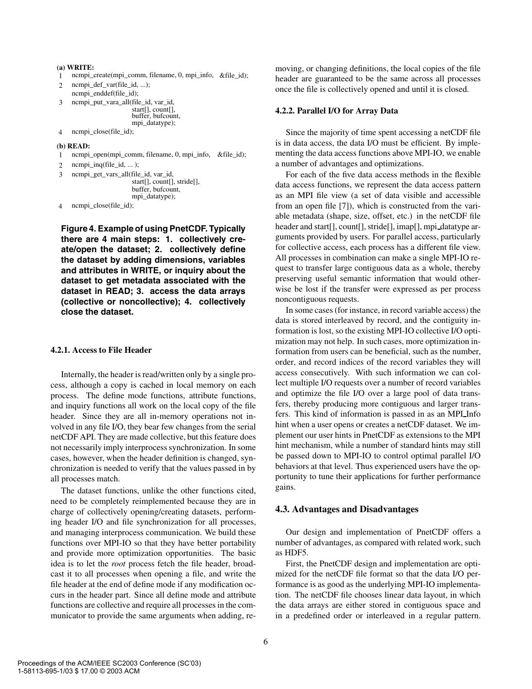#### **(a) WRITE:**

- 1 ncmpi\_create(mpi\_comm, filename, 0, mpi\_info, &file\_id);
- ncmpi\_def\_var(file\_id, ...); 2 ncmpi\_enddef(file\_id);
- ncmpi\_put\_vara\_all(file\_id, var\_id, start[], count[], buffer, bufcount, mpi\_datatype); 3
- 4 ncmpi\_close(file\_id);

#### **(b) READ:**

- 1 ncmpi open(mpi comm, filename, 0, mpi info, &file id);
- 2 ncmpi\_inq(file\_id, ... );
- 3 ncmpi\_get\_vars\_all(file\_id, var\_id,

buffer, bufcount, start[], count[], stride[], mpi\_datatype);

4 ncmpi\_close(file\_id);

**Figure 4. Example of using PnetCDF. Typically there are 4 main steps: 1. collectively create/open the dataset; 2. collectively define the dataset by adding dimensions, variables and attributes in WRITE, or inquiry about the dataset to get metadata associated with the dataset in READ; 3. access the data arrays (collective or noncollective); 4. collectively close the dataset.**

## **4.2.1. Access to File Header**

Internally, the header is read/written only by a single process, although a copy is cached in local memory on each process. The define mode functions, attribute functions, and inquiry functions all work on the local copy of the file header. Since they are all in-memory operations not involved in any file I/O, they bear few changes from the serial netCDF API. They are made collective, but this feature does not necessarily imply interprocess synchronization. In some cases, however, when the header definition is changed, synchronization is needed to verify that the values passed in by all processes match.

The dataset functions, unlike the other functions cited, need to be completely reimplemented because they are in charge of collectively opening/creating datasets, performing header I/O and file synchronization for all processes, and managing interprocess communication. We build these functions over MPI-IO so that they have better portability and provide more optimization opportunities. The basic idea is to let the *root* process fetch the file header, broadcast it to all processes when opening a file, and write the file header at the end of define mode if any modification occurs in the header part. Since all define mode and attribute functions are collective and require all processes in the communicator to provide the same arguments when adding, re-

moving, or changing definitions, the local copies of the file header are guaranteed to be the same across all processes once the file is collectively opened and until it is closed.

#### **4.2.2. Parallel I/O for Array Data**

Since the majority of time spent accessing a netCDF file is in data access, the data I/O must be efficient. By implementing the data access functions above MPI-IO, we enable a number of advantages and optimizations.

For each of the five data access methods in the flexible data access functions, we represent the data access pattern as an MPI file view (a set of data visible and accessible from an open file [7]), which is constructed from the variable metadata (shape, size, offset, etc.) in the netCDF file header and start[], count[], stride[], imap[], mpi\_datatype arguments provided by users. For parallel access, particularly for collective access, each process has a different file view. All processes in combination can make a single MPI-IO request to transfer large contiguous data as a whole, thereby preserving useful semantic information that would otherwise be lost if the transfer were expressed as per process noncontiguous requests.

In some cases (for instance, in record variable access) the data is stored interleaved by record, and the contiguity information is lost, so the existing MPI-IO collective I/O optimization may not help. In such cases, more optimization information from users can be beneficial, such as the number, order, and record indices of the record variables they will access consecutively. With such information we can collect multiple I/O requests over a number of record variables and optimize the file I/O over a large pool of data transfers, thereby producing more contiguous and larger transfers. This kind of information is passed in as an MPI Info hint when a user opens or creates a netCDF dataset. We implement our user hints in PnetCDF as extensions to the MPI hint mechanism, while a number of standard hints may still be passed down to MPI-IO to control optimal parallel I/O behaviors at that level. Thus experienced users have the opportunity to tune their applications for further performance gains.

#### **4.3. Advantages and Disadvantages**

Our design and implementation of PnetCDF offers a number of advantages, as compared with related work, such as HDF5.

First, the PnetCDF design and implementation are optimized for the netCDF file format so that the data I/O performance is as good as the underlying MPI-IO implementation. The netCDF file chooses linear data layout, in which the data arrays are either stored in contiguous space and in a predefined order or interleaved in a regular pattern.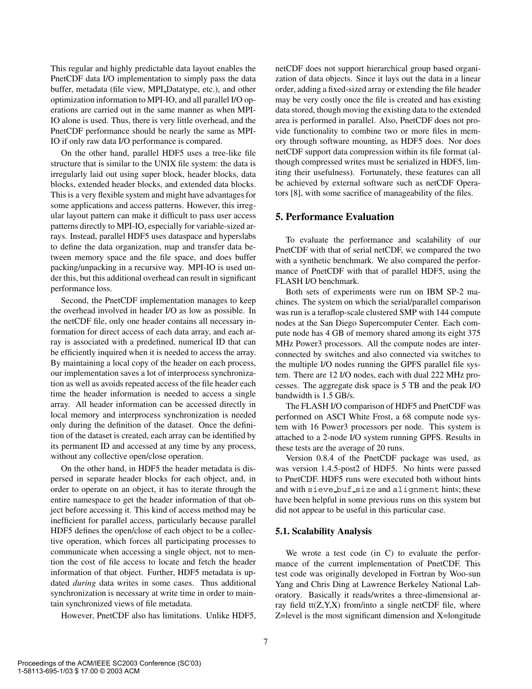This regular and highly predictable data layout enables the PnetCDF data I/O implementation to simply pass the data buffer, metadata (file view, MPI Datatype, etc.), and other optimization information to MPI-IO, and all parallel I/O operations are carried out in the same manner as when MPI-IO alone is used. Thus, there is very little overhead, and the PnetCDF performance should be nearly the same as MPI-IO if only raw data I/O performance is compared.

On the other hand, parallel HDF5 uses a tree-like file structure that is similar to the UNIX file system: the data is irregularly laid out using super block, header blocks, data blocks, extended header blocks, and extended data blocks. This is a very flexible system and might have advantages for some applications and access patterns. However, this irregular layout pattern can make it difficult to pass user access patterns directly to MPI-IO, especially for variable-sized arrays. Instead, parallel HDF5 uses dataspace and hyperslabs to define the data organization, map and transfer data between memory space and the file space, and does buffer packing/unpacking in a recursive way. MPI-IO is used under this, but this additional overhead can result in significant performance loss.

Second, the PnetCDF implementation manages to keep the overhead involved in header I/O as low as possible. In the netCDF file, only one header contains all necessary information for direct access of each data array, and each array is associated with a predefined, numerical ID that can be efficiently inquired when it is needed to access the array. By maintaining a local copy of the header on each process, our implementation saves a lot of interprocess synchronization as well as avoids repeated access of the file header each time the header information is needed to access a single array. All header information can be accessed directly in local memory and interprocess synchronization is needed only during the definition of the dataset. Once the definition of the dataset is created, each array can be identified by its permanent ID and accessed at any time by any process, without any collective open/close operation.

On the other hand, in HDF5 the header metadata is dispersed in separate header blocks for each object, and, in order to operate on an object, it has to iterate through the entire namespace to get the header information of that object before accessing it. This kind of access method may be inefficient for parallel access, particularly because parallel HDF5 defines the open/close of each object to be a collective operation, which forces all participating processes to communicate when accessing a single object, not to mention the cost of file access to locate and fetch the header information of that object. Further, HDF5 metadata is updated *during* data writes in some cases. Thus additional synchronization is necessary at write time in order to maintain synchronized views of file metadata.

However, PnetCDF also has limitations. Unlike HDF5,

netCDF does not support hierarchical group based organization of data objects. Since it lays out the data in a linear order, adding a fixed-sized array or extending the file header may be very costly once the file is created and has existing data stored, though moving the existing data to the extended area is performed in parallel. Also, PnetCDF does not provide functionality to combine two or more files in memory through software mounting, as HDF5 does. Nor does netCDF support data compression within its file format (although compressed writes must be serialized in HDF5, limiting their usefulness). Fortunately, these features can all be achieved by external software such as netCDF Operators [8], with some sacrifice of manageability of the files.

# **5. Performance Evaluation**

To evaluate the performance and scalability of our PnetCDF with that of serial netCDF, we compared the two with a synthetic benchmark. We also compared the performance of PnetCDF with that of parallel HDF5, using the FLASH I/O benchmark.

Both sets of experiments were run on IBM SP-2 machines. The system on which the serial/parallel comparison was run is a teraflop-scale clustered SMP with 144 compute nodes at the San Diego Supercomputer Center. Each compute node has 4 GB of memory shared among its eight 375 MHz Power3 processors. All the compute nodes are interconnected by switches and also connected via switches to the multiple I/O nodes running the GPFS parallel file system. There are 12 I/O nodes, each with dual 222 MHz processes. The aggregate disk space is 5 TB and the peak I/O bandwidth is 1.5 GB/s.

The FLASH I/O comparison of HDF5 and PnetCDF was performed on ASCI White Frost, a 68 compute node system with 16 Power3 processors per node. This system is attached to a 2-node I/O system running GPFS. Results in these tests are the average of 20 runs.

Version 0.8.4 of the PnetCDF package was used, as was version 1.4.5-post2 of HDF5. No hints were passed to PnetCDF. HDF5 runs were executed both without hints and with sieve buf size and alignment hints; these have been helpful in some previous runs on this system but did not appear to be useful in this particular case.

# **5.1. Scalability Analysis**

We wrote a test code (in C) to evaluate the performance of the current implementation of PnetCDF. This test code was originally developed in Fortran by Woo-sun Yang and Chris Ding at Lawrence Berkeley National Laboratory. Basically it reads/writes a three-dimensional array field  $tt(Z,Y,X)$  from/into a single netCDF file, where Z=level is the most significant dimension and X=longitude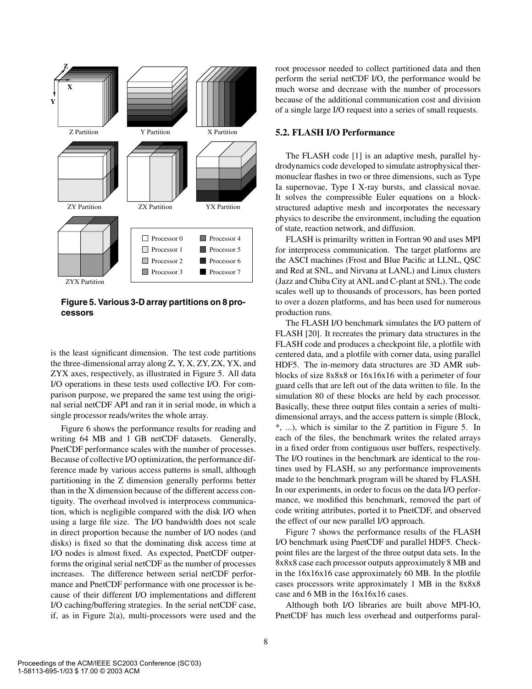

**Figure 5. Various 3-D array partitions on 8 processors**

is the least significant dimension. The test code partitions the three-dimensional array along Z, Y, X, ZY, ZX, YX, and ZYX axes, respectively, as illustrated in Figure 5. All data I/O operations in these tests used collective I/O. For comparison purpose, we prepared the same test using the original serial netCDF API and ran it in serial mode, in which a single processor reads/writes the whole array.

Figure 6 shows the performance results for reading and writing 64 MB and 1 GB netCDF datasets. Generally, PnetCDF performance scales with the number of processes. Because of collective I/O optimization, the performance difference made by various access patterns is small, although partitioning in the Z dimension generally performs better than in the X dimension because of the different access contiguity. The overhead involved is interprocess communication, which is negligible compared with the disk I/O when using a large file size. The I/O bandwidth does not scale in direct proportion because the number of I/O nodes (and disks) is fixed so that the dominating disk access time at I/O nodes is almost fixed. As expected, PnetCDF outperforms the original serial netCDF as the number of processes increases. The difference between serial netCDF performance and PnetCDF performance with one processor is because of their different I/O implementations and different I/O caching/buffering strategies. In the serial netCDF case, if, as in Figure 2(a), multi-processors were used and the

root processor needed to collect partitioned data and then perform the serial netCDF I/O, the performance would be much worse and decrease with the number of processors because of the additional communication cost and division of a single large I/O request into a series of small requests.

#### **5.2. FLASH I/O Performance**

The FLASH code [1] is an adaptive mesh, parallel hydrodynamics code developed to simulate astrophysical thermonuclear flashes in two or three dimensions, such as Type Ia supernovae, Type I X-ray bursts, and classical novae. It solves the compressible Euler equations on a blockstructured adaptive mesh and incorporates the necessary physics to describe the environment, including the equation of state, reaction network, and diffusion.

FLASH is primarilty written in Fortran 90 and uses MPI for interprocess communication. The target platforms are the ASCI machines (Frost and Blue Pacific at LLNL, QSC and Red at SNL, and Nirvana at LANL) and Linux clusters (Jazz and Chiba City at ANL and C-plant at SNL). The code scales well up to thousands of processors, has been ported to over a dozen platforms, and has been used for numerous production runs.

The FLASH I/O benchmark simulates the I/O pattern of FLASH [20]. It recreates the primary data structures in the FLASH code and produces a checkpoint file, a plotfile with centered data, and a plotfile with corner data, using parallel HDF5. The in-memory data structures are 3D AMR subblocks of size 8x8x8 or 16x16x16 with a perimeter of four guard cells that are left out of the data written to file. In the simulation 80 of these blocks are held by each processor. Basically, these three output files contain a series of multidimensional arrays, and the access pattern is simple (Block, \*, ...), which is similar to the Z partition in Figure 5. In each of the files, the benchmark writes the related arrays in a fixed order from contiguous user buffers, respectively. The I/O routines in the benchmark are identical to the routines used by FLASH, so any performance improvements made to the benchmark program will be shared by FLASH. In our experiments, in order to focus on the data I/O performance, we modified this benchmark, removed the part of code writing attributes, ported it to PnetCDF, and observed the effect of our new parallel I/O approach.

Figure 7 shows the performance results of the FLASH I/O benchmark using PnetCDF and parallel HDF5. Checkpoint files are the largest of the three output data sets. In the 8x8x8 case each processor outputs approximately 8 MB and in the 16x16x16 case approximately 60 MB. In the plotfile cases processors write approximately 1 MB in the 8x8x8 case and 6 MB in the 16x16x16 cases.

Although both I/O libraries are built above MPI-IO, PnetCDF has much less overhead and outperforms paral-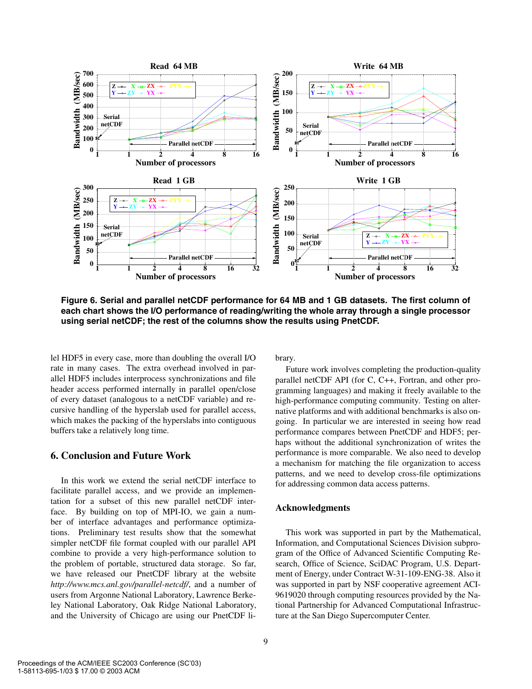

**Figure 6. Serial and parallel netCDF performance for 64 MB and 1 GB datasets. The first column of each chart shows the I/O performance of reading/writing the whole array through a single processor using serial netCDF; the rest of the columns show the results using PnetCDF.**

lel HDF5 in every case, more than doubling the overall I/O rate in many cases. The extra overhead involved in parallel HDF5 includes interprocess synchronizations and file header access performed internally in parallel open/close of every dataset (analogous to a netCDF variable) and recursive handling of the hyperslab used for parallel access, which makes the packing of the hyperslabs into contiguous buffers take a relatively long time.

# **6. Conclusion and Future Work**

In this work we extend the serial netCDF interface to facilitate parallel access, and we provide an implementation for a subset of this new parallel netCDF interface. By building on top of MPI-IO, we gain a number of interface advantages and performance optimizations. Preliminary test results show that the somewhat simpler netCDF file format coupled with our parallel API combine to provide a very high-performance solution to the problem of portable, structured data storage. So far, we have released our PnetCDF library at the website *http://www.mcs.anl.gov/parallel-netcdf/*, and a number of users from Argonne National Laboratory, Lawrence Berkeley National Laboratory, Oak Ridge National Laboratory, and the University of Chicago are using our PnetCDF library.

Future work involves completing the production-quality parallel netCDF API (for C, C++, Fortran, and other programming languages) and making it freely available to the high-performance computing community. Testing on alternative platforms and with additional benchmarks is also ongoing. In particular we are interested in seeing how read performance compares between PnetCDF and HDF5; perhaps without the additional synchronization of writes the performance is more comparable. We also need to develop a mechanism for matching the file organization to access patterns, and we need to develop cross-file optimizations for addressing common data access patterns.

# **Acknowledgments**

This work was supported in part by the Mathematical, Information, and Computational Sciences Division subprogram of the Office of Advanced Scientific Computing Research, Office of Science, SciDAC Program, U.S. Department of Energy, under Contract W-31-109-ENG-38. Also it was supported in part by NSF cooperative agreement ACI-9619020 through computing resources provided by the National Partnership for Advanced Computational Infrastructure at the San Diego Supercomputer Center.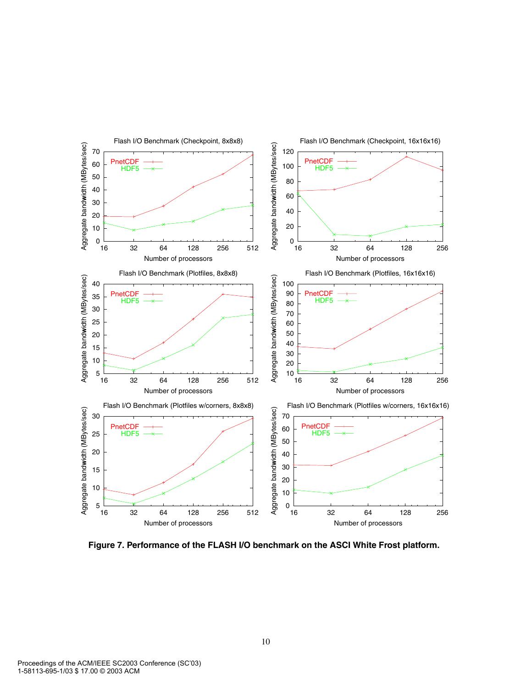

**Figure 7. Performance of the FLASH I/O benchmark on the ASCI White Frost platform.**